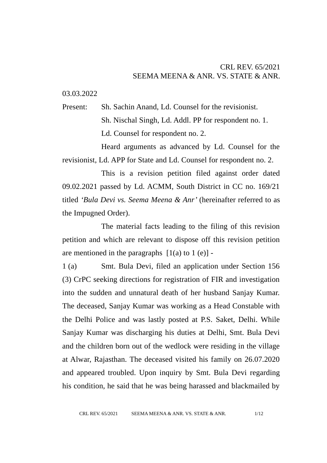## CRL REV. 65/2021 SEEMA MEENA & ANR. VS. STATE & ANR.

03.03.2022

Present: Sh. Sachin Anand, Ld. Counsel for the revisionist. Sh. Nischal Singh, Ld. Addl. PP for respondent no. 1. Ld. Counsel for respondent no. 2.

Heard arguments as advanced by Ld. Counsel for the revisionist, Ld. APP for State and Ld. Counsel for respondent no. 2.

This is a revision petition filed against order dated 09.02.2021 passed by Ld. ACMM, South District in CC no. 169/21 titled *'Bula Devi vs. Seema Meena & Anr'* (hereinafter referred to as the Impugned Order)*.*

The material facts leading to the filing of this revision petition and which are relevant to dispose off this revision petition are mentioned in the paragraphs  $[1(a)$  to  $1(e)]$  -

1 (a) Smt. Bula Devi, filed an application under Section 156 (3) CrPC seeking directions for registration of FIR and investigation into the sudden and unnatural death of her husband Sanjay Kumar. The deceased, Sanjay Kumar was working as a Head Constable with the Delhi Police and was lastly posted at P.S. Saket, Delhi. While Sanjay Kumar was discharging his duties at Delhi, Smt. Bula Devi and the children born out of the wedlock were residing in the village at Alwar, Rajasthan. The deceased visited his family on 26.07.2020 and appeared troubled. Upon inquiry by Smt. Bula Devi regarding his condition, he said that he was being harassed and blackmailed by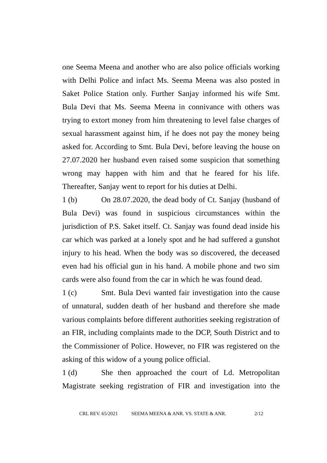one Seema Meena and another who are also police officials working with Delhi Police and infact Ms. Seema Meena was also posted in Saket Police Station only. Further Sanjay informed his wife Smt. Bula Devi that Ms. Seema Meena in connivance with others was trying to extort money from him threatening to level false charges of sexual harassment against him, if he does not pay the money being asked for. According to Smt. Bula Devi, before leaving the house on 27.07.2020 her husband even raised some suspicion that something wrong may happen with him and that he feared for his life. Thereafter, Sanjay went to report for his duties at Delhi.

1 (b) On 28.07.2020, the dead body of Ct. Sanjay (husband of Bula Devi) was found in suspicious circumstances within the jurisdiction of P.S. Saket itself. Ct. Sanjay was found dead inside his car which was parked at a lonely spot and he had suffered a gunshot injury to his head. When the body was so discovered, the deceased even had his official gun in his hand. A mobile phone and two sim cards were also found from the car in which he was found dead.

1 (c) Smt. Bula Devi wanted fair investigation into the cause of unnatural, sudden death of her husband and therefore she made various complaints before different authorities seeking registration of an FIR, including complaints made to the DCP, South District and to the Commissioner of Police. However, no FIR was registered on the asking of this widow of a young police official.

1 (d) She then approached the court of Ld. Metropolitan Magistrate seeking registration of FIR and investigation into the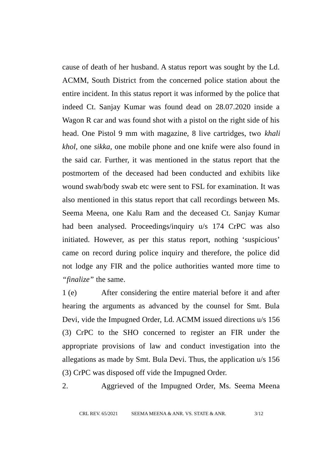cause of death of her husband. A status report was sought by the Ld. ACMM, South District from the concerned police station about the entire incident. In this status report it was informed by the police that indeed Ct. Sanjay Kumar was found dead on 28.07.2020 inside a Wagon R car and was found shot with a pistol on the right side of his head. One Pistol 9 mm with magazine, 8 live cartridges, two *khali khol*, one *sikka*, one mobile phone and one knife were also found in the said car. Further, it was mentioned in the status report that the postmortem of the deceased had been conducted and exhibits like wound swab/body swab etc were sent to FSL for examination. It was also mentioned in this status report that call recordings between Ms. Seema Meena, one Kalu Ram and the deceased Ct. Sanjay Kumar had been analysed. Proceedings/inquiry u/s 174 CrPC was also initiated. However, as per this status report, nothing 'suspicious' came on record during police inquiry and therefore, the police did not lodge any FIR and the police authorities wanted more time to *"finalize"* the same.

1 (e) After considering the entire material before it and after hearing the arguments as advanced by the counsel for Smt. Bula Devi, vide the Impugned Order, Ld. ACMM issued directions u/s 156 (3) CrPC to the SHO concerned to register an FIR under the appropriate provisions of law and conduct investigation into the allegations as made by Smt. Bula Devi. Thus, the application u/s 156 (3) CrPC was disposed off vide the Impugned Order.

2. Aggrieved of the Impugned Order, Ms. Seema Meena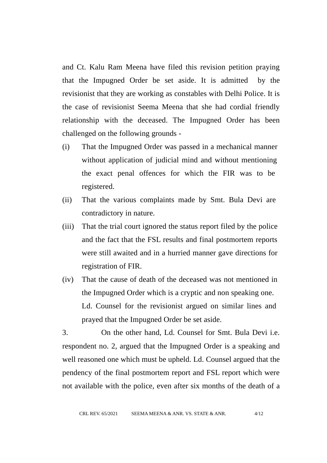and Ct. Kalu Ram Meena have filed this revision petition praying that the Impugned Order be set aside. It is admitted by the revisionist that they are working as constables with Delhi Police. It is the case of revisionist Seema Meena that she had cordial friendly relationship with the deceased. The Impugned Order has been challenged on the following grounds -

- (i) That the Impugned Order was passed in a mechanical manner without application of judicial mind and without mentioning the exact penal offences for which the FIR was to be registered.
- (ii) That the various complaints made by Smt. Bula Devi are contradictory in nature.
- (iii) That the trial court ignored the status report filed by the police and the fact that the FSL results and final postmortem reports were still awaited and in a hurried manner gave directions for registration of FIR.
- (iv) That the cause of death of the deceased was not mentioned in the Impugned Order which is a cryptic and non speaking one. Ld. Counsel for the revisionist argued on similar lines and prayed that the Impugned Order be set aside.

3. On the other hand, Ld. Counsel for Smt. Bula Devi i.e. respondent no. 2, argued that the Impugned Order is a speaking and well reasoned one which must be upheld. Ld. Counsel argued that the pendency of the final postmortem report and FSL report which were not available with the police, even after six months of the death of a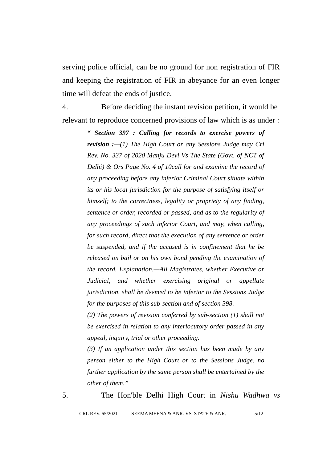serving police official, can be no ground for non registration of FIR and keeping the registration of FIR in abeyance for an even longer time will defeat the ends of justice.

4. Before deciding the instant revision petition, it would be relevant to reproduce concerned provisions of law which is as under :

> *" Section 397 : Calling for records to exercise powers of revision :—(1) The High Court or any Sessions Judge may Crl Rev. No. 337 of 2020 Manju Devi Vs The State (Govt. of NCT of Delhi) & Ors Page No. 4 of 10call for and examine the record of any proceeding before any inferior Criminal Court situate within its or his local jurisdiction for the purpose of satisfying itself or himself; to the correctness, legality or propriety of any finding, sentence or order, recorded or passed, and as to the regularity of any proceedings of such inferior Court, and may, when calling, for such record, direct that the execution of any sentence or order be suspended, and if the accused is in confinement that he be released on bail or on his own bond pending the examination of the record. Explanation.—All Magistrates, whether Executive or Judicial, and whether exercising original or appellate jurisdiction, shall be deemed to be inferior to the Sessions Judge for the purposes of this sub-section and of section 398.*

> *(2) The powers of revision conferred by sub-section (1) shall not be exercised in relation to any interlocutory order passed in any appeal, inquiry, trial or other proceeding.*

> *(3) If an application under this section has been made by any person either to the High Court or to the Sessions Judge, no further application by the same person shall be entertained by the other of them."*

5. The Hon'ble Delhi High Court in *Nishu Wadhwa vs*

CRL REV. 65/2021 SEEMA MEENA & ANR. VS. STATE & ANR. 5/12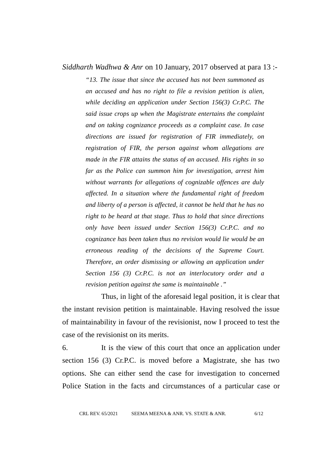## *Siddharth Wadhwa & Anr* on 10 January, 2017 observed at para 13 :-

*"13. The issue that since the accused has not been summoned as an accused and has no right to file a revision petition is alien, while deciding an application under Section 156(3) Cr.P.C. The said issue crops up when the Magistrate entertains the complaint and on taking cognizance proceeds as a complaint case. In case directions are issued for registration of FIR immediately, on registration of FIR, the person against whom allegations are made in the FIR attains the status of an accused. His rights in so far as the Police can summon him for investigation, arrest him without warrants for allegations of cognizable offences are duly affected. In a situation where the fundamental right of freedom and liberty of a person is affected, it cannot be held that he has no right to be heard at that stage. Thus to hold that since directions only have been issued under Section 156(3) Cr.P.C. and no cognizance has been taken thus no revision would lie would be an erroneous reading of the decisions of the Supreme Court. Therefore, an order dismissing or allowing an application under Section 156 (3) Cr.P.C. is not an interlocutory order and a revision petition against the same is maintainable ."*

Thus, in light of the aforesaid legal position, it is clear that the instant revision petition is maintainable. Having resolved the issue of maintainability in favour of the revisionist, now I proceed to test the case of the revisionist on its merits.

6. It is the view of this court that once an application under section 156 (3) Cr.P.C. is moved before a Magistrate, she has two options. She can either send the case for investigation to concerned Police Station in the facts and circumstances of a particular case or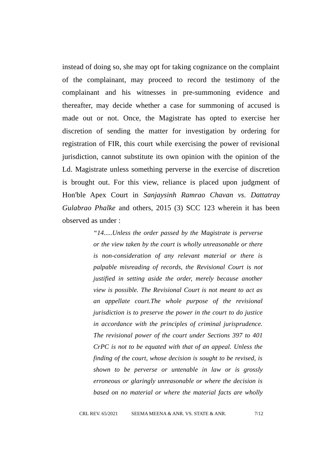instead of doing so, she may opt for taking cognizance on the complaint of the complainant, may proceed to record the testimony of the complainant and his witnesses in pre-summoning evidence and thereafter, may decide whether a case for summoning of accused is made out or not. Once, the Magistrate has opted to exercise her discretion of sending the matter for investigation by ordering for registration of FIR, this court while exercising the power of revisional jurisdiction, cannot substitute its own opinion with the opinion of the Ld. Magistrate unless something perverse in the exercise of discretion is brought out. For this view, reliance is placed upon judgment of Hon'ble Apex Court in *Sanjaysinh Ramrao Chavan vs. Dattatray Gulabrao Phalke* and others, 2015 (3) SCC 123 wherein it has been observed as under :

> *"14.....Unless the order passed by the Magistrate is perverse or the view taken by the court is wholly unreasonable or there is non-consideration of any relevant material or there is palpable misreading of records, the Revisional Court is not justified in setting aside the order, merely because another view is possible. The Revisional Court is not meant to act as an appellate court.The whole purpose of the revisional jurisdiction is to preserve the power in the court to do justice in accordance with the principles of criminal jurisprudence. The revisional power of the court under Sections 397 to 401 CrPC is not to be equated with that of an appeal. Unless the finding of the court, whose decision is sought to be revised, is shown to be perverse or untenable in law or is grossly erroneous or glaringly unreasonable or where the decision is based on no material or where the material facts are wholly*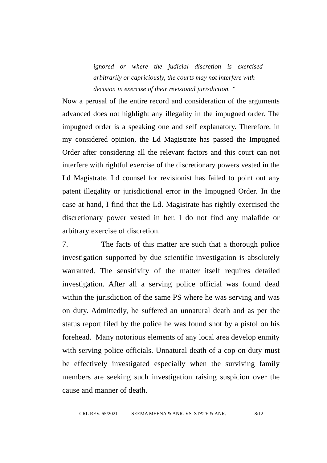*ignored or where the judicial discretion is exercised arbitrarily or capriciously, the courts may not interfere with decision in exercise of their revisional jurisdiction. "*

Now a perusal of the entire record and consideration of the arguments advanced does not highlight any illegality in the impugned order. The impugned order is a speaking one and self explanatory. Therefore, in my considered opinion, the Ld Magistrate has passed the Impugned Order after considering all the relevant factors and this court can not interfere with rightful exercise of the discretionary powers vested in the Ld Magistrate. Ld counsel for revisionist has failed to point out any patent illegality or jurisdictional error in the Impugned Order. In the case at hand, I find that the Ld. Magistrate has rightly exercised the discretionary power vested in her. I do not find any malafide or arbitrary exercise of discretion.

7. The facts of this matter are such that a thorough police investigation supported by due scientific investigation is absolutely warranted. The sensitivity of the matter itself requires detailed investigation. After all a serving police official was found dead within the jurisdiction of the same PS where he was serving and was on duty. Admittedly, he suffered an unnatural death and as per the status report filed by the police he was found shot by a pistol on his forehead. Many notorious elements of any local area develop enmity with serving police officials. Unnatural death of a cop on duty must be effectively investigated especially when the surviving family members are seeking such investigation raising suspicion over the cause and manner of death.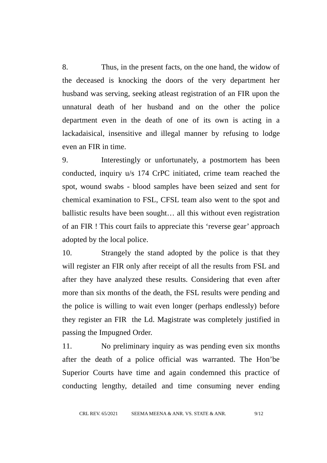8. Thus, in the present facts, on the one hand, the widow of the deceased is knocking the doors of the very department her husband was serving, seeking atleast registration of an FIR upon the unnatural death of her husband and on the other the police department even in the death of one of its own is acting in a lackadaisical, insensitive and illegal manner by refusing to lodge even an FIR in time.

9. Interestingly or unfortunately, a postmortem has been conducted, inquiry u/s 174 CrPC initiated, crime team reached the spot, wound swabs - blood samples have been seized and sent for chemical examination to FSL, CFSL team also went to the spot and ballistic results have been sought… all this without even registration of an FIR ! This court fails to appreciate this 'reverse gear' approach adopted by the local police.

10. Strangely the stand adopted by the police is that they will register an FIR only after receipt of all the results from FSL and after they have analyzed these results. Considering that even after more than six months of the death, the FSL results were pending and the police is willing to wait even longer (perhaps endlessly) before they register an FIR the Ld. Magistrate was completely justified in passing the Impugned Order.

11. No preliminary inquiry as was pending even six months after the death of a police official was warranted. The Hon'be Superior Courts have time and again condemned this practice of conducting lengthy, detailed and time consuming never ending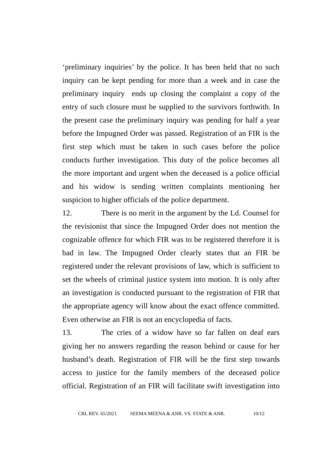'preliminary inquiries' by the police. It has been held that no such inquiry can be kept pending for more than a week and in case the preliminary inquiry ends up closing the complaint a copy of the entry of such closure must be supplied to the survivors forthwith. In the present case the preliminary inquiry was pending for half a year before the Impugned Order was passed. Registration of an FIR is the first step which must be taken in such cases before the police conducts further investigation. This duty of the police becomes all the more important and urgent when the deceased is a police official and his widow is sending written complaints mentioning her suspicion to higher officials of the police department.

12. There is no merit in the argument by the Ld. Counsel for the revisionist that since the Impugned Order does not mention the cognizable offence for which FIR was to be registered therefore it is bad in law. The Impugned Order clearly states that an FIR be registered under the relevant provisions of law, which is sufficient to set the wheels of criminal justice system into motion. It is only after an investigation is conducted pursuant to the registration of FIR that the appropriate agency will know about the exact offence committed. Even otherwise an FIR is not an encyclopedia of facts.

13. The cries of a widow have so far fallen on deaf ears giving her no answers regarding the reason behind or cause for her husband's death. Registration of FIR will be the first step towards access to justice for the family members of the deceased police official. Registration of an FIR will facilitate swift investigation into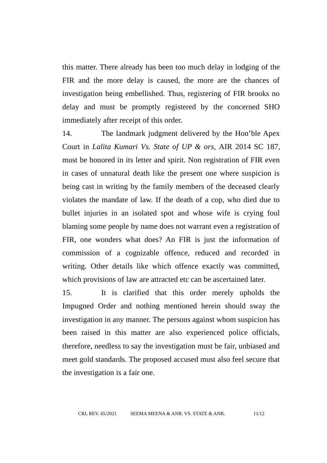this matter. There already has been too much delay in lodging of the FIR and the more delay is caused, the more are the chances of investigation being embellished. Thus, registering of FIR brooks no delay and must be promptly registered by the concerned SHO immediately after receipt of this order.

14. The landmark judgment delivered by the Hon'ble Apex Court in *Lalita Kumari Vs. State of UP & ors,* AIR 2014 SC 187, must be honored in its letter and spirit. Non registration of FIR even in cases of unnatural death like the present one where suspicion is being cast in writing by the family members of the deceased clearly violates the mandate of law. If the death of a cop, who died due to bullet injuries in an isolated spot and whose wife is crying foul blaming some people by name does not warrant even a registration of FIR, one wonders what does? An FIR is just the information of commission of a cognizable offence, reduced and recorded in writing. Other details like which offence exactly was committed, which provisions of law are attracted etc can be ascertained later.

15. It is clarified that this order merely upholds the Impugned Order and nothing mentioned herein should sway the investigation in any manner. The persons against whom suspicion has been raised in this matter are also experienced police officials, therefore, needless to say the investigation must be fair, unbiased and meet gold standards. The proposed accused must also feel secure that the investigation is a fair one.